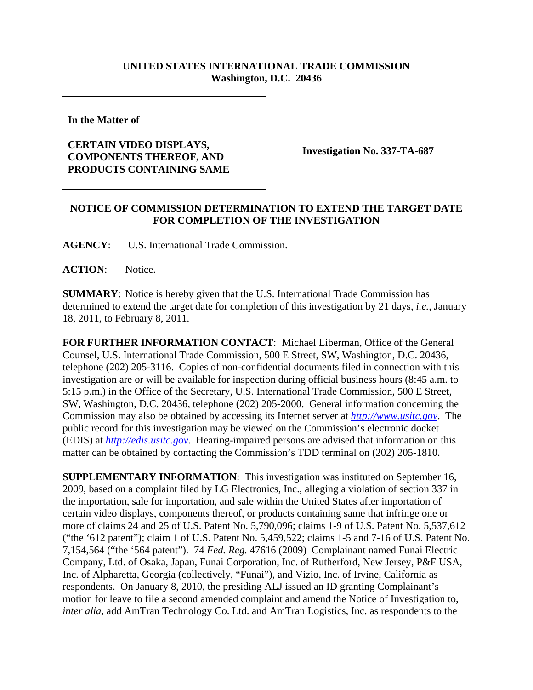## **UNITED STATES INTERNATIONAL TRADE COMMISSION Washington, D.C. 20436**

**In the Matter of** 

## **CERTAIN VIDEO DISPLAYS, COMPONENTS THEREOF, AND PRODUCTS CONTAINING SAME**

**Investigation No. 337-TA-687**

## **NOTICE OF COMMISSION DETERMINATION TO EXTEND THE TARGET DATE FOR COMPLETION OF THE INVESTIGATION**

**AGENCY**: U.S. International Trade Commission.

ACTION: Notice.

**SUMMARY**: Notice is hereby given that the U.S. International Trade Commission has determined to extend the target date for completion of this investigation by 21 days, *i.e.*, January 18, 2011, to February 8, 2011.

**FOR FURTHER INFORMATION CONTACT**: Michael Liberman, Office of the General Counsel, U.S. International Trade Commission, 500 E Street, SW, Washington, D.C. 20436, telephone (202) 205-3116. Copies of non-confidential documents filed in connection with this investigation are or will be available for inspection during official business hours (8:45 a.m. to 5:15 p.m.) in the Office of the Secretary, U.S. International Trade Commission, 500 E Street, SW, Washington, D.C. 20436, telephone (202) 205-2000. General information concerning the Commission may also be obtained by accessing its Internet server at *http://www.usitc.gov*. The public record for this investigation may be viewed on the Commission's electronic docket (EDIS) at *http://edis.usitc.gov*. Hearing-impaired persons are advised that information on this matter can be obtained by contacting the Commission's TDD terminal on (202) 205-1810.

**SUPPLEMENTARY INFORMATION**: This investigation was instituted on September 16, 2009, based on a complaint filed by LG Electronics, Inc., alleging a violation of section 337 in the importation, sale for importation, and sale within the United States after importation of certain video displays, components thereof, or products containing same that infringe one or more of claims 24 and 25 of U.S. Patent No. 5,790,096; claims 1-9 of U.S. Patent No. 5,537,612 ("the '612 patent"); claim 1 of U.S. Patent No. 5,459,522; claims 1-5 and 7-16 of U.S. Patent No. 7,154,564 ("the '564 patent"). 74 *Fed. Reg.* 47616 (2009) Complainant named Funai Electric Company, Ltd. of Osaka, Japan, Funai Corporation, Inc. of Rutherford, New Jersey, P&F USA, Inc. of Alpharetta, Georgia (collectively, "Funai"), and Vizio, Inc. of Irvine, California as respondents. On January 8, 2010, the presiding ALJ issued an ID granting Complainant's motion for leave to file a second amended complaint and amend the Notice of Investigation to, *inter alia*, add AmTran Technology Co. Ltd. and AmTran Logistics, Inc. as respondents to the